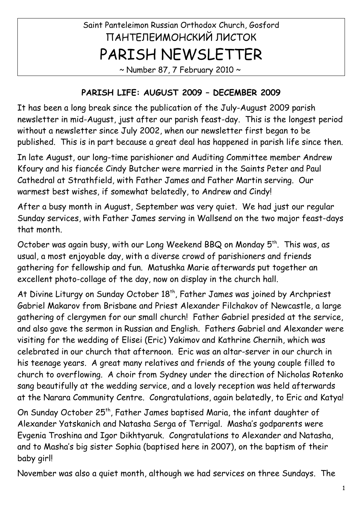# Saint Panteleimon Russian Orthodox Church, Gosford ПАНТЕЛЕИМОНСКИЙ ЛИСТОК PARISH NEWSLETTER

 $\sim$  Number 87, 7 February 2010  $\sim$ 

#### **PARISH LIFE: AUGUST 2009 – DECEMBER 2009**

It has been a long break since the publication of the July-August 2009 parish newsletter in mid-August, just after our parish feast-day. This is the longest period without a newsletter since July 2002, when our newsletter first began to be published. This is in part because a great deal has happened in parish life since then.

In late August, our long-time parishioner and Auditing Committee member Andrew Kfoury and his fiancée Cindy Butcher were married in the Saints Peter and Paul Cathedral at Strathfield, with Father James and Father Martin serving. Our warmest best wishes, if somewhat belatedly, to Andrew and Cindy!

After a busy month in August, September was very quiet. We had just our regular Sunday services, with Father James serving in Wallsend on the two major feast-days that month.

October was again busy, with our Long Weekend BBQ on Monday 5<sup>th</sup>. This was, as usual, a most enjoyable day, with a diverse crowd of parishioners and friends gathering for fellowship and fun. Matushka Marie afterwards put together an excellent photo-collage of the day, now on display in the church hall.

At Divine Liturgy on Sunday October 18<sup>th</sup>, Father James was joined by Archpriest Gabriel Makarov from Brisbane and Priest Alexander Filchakov of Newcastle, a large gathering of clergymen for our small church! Father Gabriel presided at the service, and also gave the sermon in Russian and English. Fathers Gabriel and Alexander were visiting for the wedding of Elisei (Eric) Yakimov and Kathrine Chernih, which was celebrated in our church that afternoon. Eric was an altar-server in our church in his teenage years. A great many relatives and friends of the young couple filled to church to overflowing. A choir from Sydney under the direction of Nicholas Rotenko sang beautifully at the wedding service, and a lovely reception was held afterwards at the Narara Community Centre. Congratulations, again belatedly, to Eric and Katya!

On Sunday October 25<sup>th</sup>, Father James baptised Maria, the infant daughter of Alexander Yatskanich and Natasha Serga of Terrigal. Masha's godparents were Evgenia Troshina and Igor Dikhtyaruk. Congratulations to Alexander and Natasha, and to Masha's big sister Sophia (baptised here in 2007), on the baptism of their baby girl!

November was also a quiet month, although we had services on three Sundays. The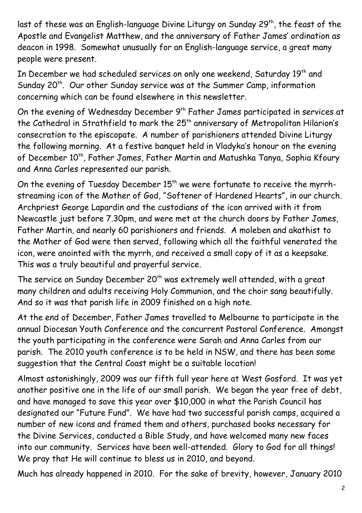last of these was an English-language Divine Liturgy on Sunday 29<sup>th</sup>, the feast of the Apostle and Evangelist Matthew, and the anniversary of Father James' ordination as deacon in 1998. Somewhat unusually for an English-language service, a great many people were present.

In December we had scheduled services on only one weekend, Saturday 19<sup>th</sup> and Sunday 20<sup>th</sup>. Our other Sunday service was at the Summer Camp, information concerning which can be found elsewhere in this newsletter.

On the evening of Wednesday December 9<sup>th</sup> Father James participated in services at the Cathedral in Strathfield to mark the 25<sup>th</sup> anniversary of Metropolitan Hilarion's consecration to the episcopate. A number of parishioners attended Divine Liturgy the following morning. At a festive banquet held in Vladyka's honour on the evening of December 10<sup>th</sup>, Father James, Father Martin and Matushka Tanya, Sophia Kfoury and Anna Carles represented our parish.

On the evening of Tuesday December 15<sup>th</sup> we were fortunate to receive the myrrhstreaming icon of the Mother of God, "Softener of Hardened Hearts", in our church. Archpriest George Lapardin and the custodians of the icon arrived with it from Newcastle just before 7.30pm, and were met at the church doors by Father James, Father Martin, and nearly 60 parishioners and friends. A moleben and akathist to the Mother of God were then served, following which all the faithful venerated the icon, were anointed with the myrrh, and received a small copy of it as a keepsake. This was a truly beautiful and prayerful service.

The service on Sunday December 20<sup>th</sup> was extremely well attended, with a great many children and adults receiving Holy Communion, and the choir sang beautifully. And so it was that parish life in 2009 finished on a high note.

At the end of December, Father James travelled to Melbourne to participate in the annual Diocesan Youth Conference and the concurrent Pastoral Conference. Amongst the youth participating in the conference were Sarah and Anna Carles from our parish. The 2010 youth conference is to be held in NSW, and there has been some suggestion that the Central Coast might be a suitable location!

Almost astonishingly, 2009 was our fifth full year here at West Gosford. It was yet another positive one in the life of our small parish. We began the year free of debt, and have managed to save this year over \$10,000 in what the Parish Council has designated our "Future Fund". We have had two successful parish camps, acquired a number of new icons and framed them and others, purchased books necessary for the Divine Services, conducted a Bible Study, and have welcomed many new faces into our community. Services have been well-attended. Glory to God for all things! We pray that He will continue to bless us in 2010, and beyond.

Much has already happened in 2010. For the sake of brevity, however, January 2010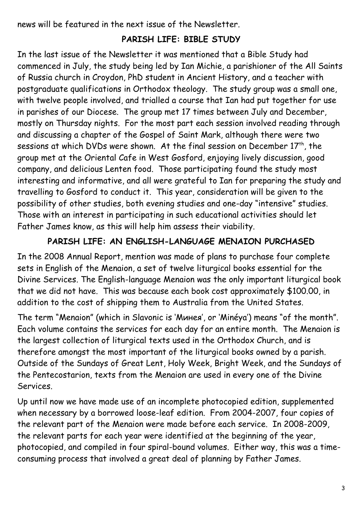news will be featured in the next issue of the Newsletter.

#### **PARISH LIFE: BIBLE STUDY**

In the last issue of the Newsletter it was mentioned that a Bible Study had commenced in July, the study being led by Ian Michie, a parishioner of the All Saints of Russia church in Croydon, PhD student in Ancient History, and a teacher with postgraduate qualifications in Orthodox theology. The study group was a small one, with twelve people involved, and trialled a course that Ian had put together for use in parishes of our Diocese. The group met 17 times between July and December, mostly on Thursday nights. For the most part each session involved reading through and discussing a chapter of the Gospel of Saint Mark, although there were two sessions at which DVDs were shown. At the final session on December  $17<sup>th</sup>$ , the group met at the Oriental Cafe in West Gosford, enjoying lively discussion, good company, and delicious Lenten food. Those participating found the study most interesting and informative, and all were grateful to Ian for preparing the study and travelling to Gosford to conduct it. This year, consideration will be given to the possibility of other studies, both evening studies and one-day "intensive" studies. Those with an interest in participating in such educational activities should let Father James know, as this will help him assess their viability.

#### **PARISH LIFE: AN ENGLISH-LANGUAGE MENAION PURCHASED**

In the 2008 Annual Report, mention was made of plans to purchase four complete sets in English of the Menaion, a set of twelve liturgical books essential for the Divine Services. The English-language Menaion was the only important liturgical book that we did not have. This was because each book cost approximately \$100.00, in addition to the cost of shipping them to Australia from the United States.

The term "Menaion" (which in Slavonic is 'Минея', or 'Minéya') means "of the month". Each volume contains the services for each day for an entire month. The Menaion is the largest collection of liturgical texts used in the Orthodox Church, and is therefore amongst the most important of the liturgical books owned by a parish. Outside of the Sundays of Great Lent, Holy Week, Bright Week, and the Sundays of the Pentecostarion, texts from the Menaion are used in every one of the Divine Services.

Up until now we have made use of an incomplete photocopied edition, supplemented when necessary by a borrowed loose-leaf edition. From 2004-2007, four copies of the relevant part of the Menaion were made before each service. In 2008-2009, the relevant parts for each year were identified at the beginning of the year, photocopied, and compiled in four spiral-bound volumes. Either way, this was a timeconsuming process that involved a great deal of planning by Father James.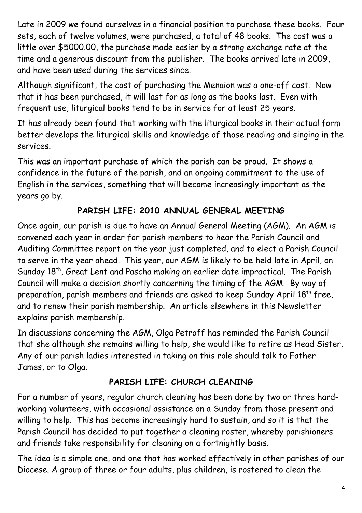Late in 2009 we found ourselves in a financial position to purchase these books. Four sets, each of twelve volumes, were purchased, a total of 48 books. The cost was a little over \$5000.00, the purchase made easier by a strong exchange rate at the time and a generous discount from the publisher. The books arrived late in 2009, and have been used during the services since.

Although significant, the cost of purchasing the Menaion was a one-off cost. Now that it has been purchased, it will last for as long as the books last. Even with frequent use, liturgical books tend to be in service for at least 25 years.

It has already been found that working with the liturgical books in their actual form better develops the liturgical skills and knowledge of those reading and singing in the services.

This was an important purchase of which the parish can be proud. It shows a confidence in the future of the parish, and an ongoing commitment to the use of English in the services, something that will become increasingly important as the years go by.

## **PARISH LIFE: 2010 ANNUAL GENERAL MEETING**

Once again, our parish is due to have an Annual General Meeting (AGM). An AGM is convened each year in order for parish members to hear the Parish Council and Auditing Committee report on the year just completed, and to elect a Parish Council to serve in the year ahead. This year, our AGM is likely to be held late in April, on Sunday 18<sup>th</sup>, Great Lent and Pascha making an earlier date impractical. The Parish Council will make a decision shortly concerning the timing of the AGM. By way of preparation, parish members and friends are asked to keep Sunday April 18<sup>th</sup> free, and to renew their parish membership. An article elsewhere in this Newsletter explains parish membership.

In discussions concerning the AGM, Olga Petroff has reminded the Parish Council that she although she remains willing to help, she would like to retire as Head Sister. Any of our parish ladies interested in taking on this role should talk to Father James, or to Olga.

#### **PARISH LIFE: CHURCH CLEANING**

For a number of years, regular church cleaning has been done by two or three hardworking volunteers, with occasional assistance on a Sunday from those present and willing to help. This has become increasingly hard to sustain, and so it is that the Parish Council has decided to put together a cleaning roster, whereby parishioners and friends take responsibility for cleaning on a fortnightly basis.

The idea is a simple one, and one that has worked effectively in other parishes of our Diocese. A group of three or four adults, plus children, is rostered to clean the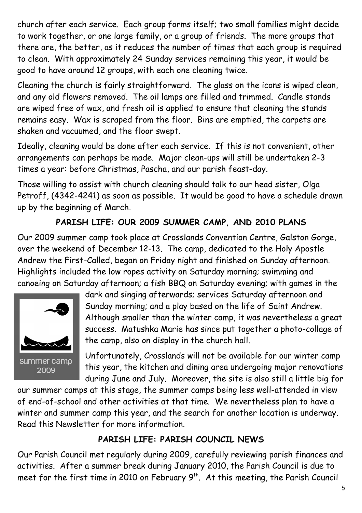church after each service. Each group forms itself; two small families might decide to work together, or one large family, or a group of friends. The more groups that there are, the better, as it reduces the number of times that each group is required to clean. With approximately 24 Sunday services remaining this year, it would be good to have around 12 groups, with each one cleaning twice.

Cleaning the church is fairly straightforward. The glass on the icons is wiped clean, and any old flowers removed. The oil lamps are filled and trimmed. Candle stands are wiped free of wax, and fresh oil is applied to ensure that cleaning the stands remains easy. Wax is scraped from the floor. Bins are emptied, the carpets are shaken and vacuumed, and the floor swept.

Ideally, cleaning would be done after each service. If this is not convenient, other arrangements can perhaps be made. Major clean-ups will still be undertaken 2-3 times a year: before Christmas, Pascha, and our parish feast-day.

Those willing to assist with church cleaning should talk to our head sister, Olga Petroff, (4342-4241) as soon as possible. It would be good to have a schedule drawn up by the beginning of March.

## **PARISH LIFE: OUR 2009 SUMMER CAMP, AND 2010 PLANS**

Our 2009 summer camp took place at Crosslands Convention Centre, Galston Gorge, over the weekend of December 12-13. The camp, dedicated to the Holy Apostle Andrew the First-Called, began on Friday night and finished on Sunday afternoon. Highlights included the low ropes activity on Saturday morning; swimming and canoeing on Saturday afternoon; a fish BBQ on Saturday evening; with games in the



dark and singing afterwards; services Saturday afternoon and Sunday morning; and a play based on the life of Saint Andrew. Although smaller than the winter camp, it was nevertheless a great success. Matushka Marie has since put together a photo-collage of the camp, also on display in the church hall.

Unfortunately, Crosslands will not be available for our winter camp this year, the kitchen and dining area undergoing major renovations during June and July. Moreover, the site is also still a little big for

our summer camps at this stage, the summer camps being less well-attended in view of end-of-school and other activities at that time. We nevertheless plan to have a winter and summer camp this year, and the search for another location is underway. Read this Newsletter for more information.

## **PARISH LIFE: PARISH COUNCIL NEWS**

Our Parish Council met regularly during 2009, carefully reviewing parish finances and activities. After a summer break during January 2010, the Parish Council is due to meet for the first time in 2010 on February 9<sup>th</sup>. At this meeting, the Parish Council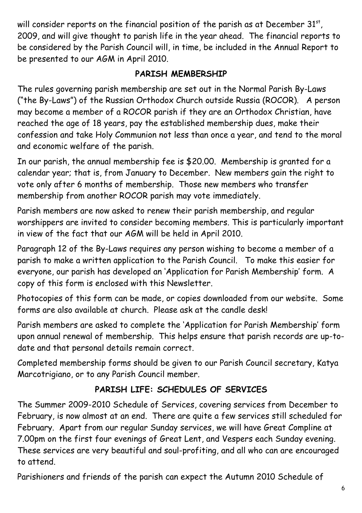will consider reports on the financial position of the parish as at December 31 $^{\rm st}$ , 2009, and will give thought to parish life in the year ahead. The financial reports to be considered by the Parish Council will, in time, be included in the Annual Report to be presented to our AGM in April 2010.

### **PARISH MEMBERSHIP**

The rules governing parish membership are set out in the Normal Parish By-Laws ("the By-Laws") of the Russian Orthodox Church outside Russia (ROCOR). A person may become a member of a ROCOR parish if they are an Orthodox Christian, have reached the age of 18 years, pay the established membership dues, make their confession and take Holy Communion not less than once a year, and tend to the moral and economic welfare of the parish.

In our parish, the annual membership fee is \$20.00. Membership is granted for a calendar year; that is, from January to December. New members gain the right to vote only after 6 months of membership. Those new members who transfer membership from another ROCOR parish may vote immediately.

Parish members are now asked to renew their parish membership, and regular worshippers are invited to consider becoming members. This is particularly important in view of the fact that our AGM will be held in April 2010.

Paragraph 12 of the By-Laws requires any person wishing to become a member of a parish to make a written application to the Parish Council. To make this easier for everyone, our parish has developed an 'Application for Parish Membership' form. A copy of this form is enclosed with this Newsletter.

Photocopies of this form can be made, or copies downloaded from our website. Some forms are also available at church. Please ask at the candle desk!

Parish members are asked to complete the 'Application for Parish Membership' form upon annual renewal of membership. This helps ensure that parish records are up-todate and that personal details remain correct.

Completed membership forms should be given to our Parish Council secretary, Katya Marcotrigiano, or to any Parish Council member.

# **PARISH LIFE: SCHEDULES OF SERVICES**

The Summer 2009-2010 Schedule of Services, covering services from December to February, is now almost at an end. There are quite a few services still scheduled for February. Apart from our regular Sunday services, we will have Great Compline at 7.00pm on the first four evenings of Great Lent, and Vespers each Sunday evening. These services are very beautiful and soul-profiting, and all who can are encouraged to attend.

Parishioners and friends of the parish can expect the Autumn 2010 Schedule of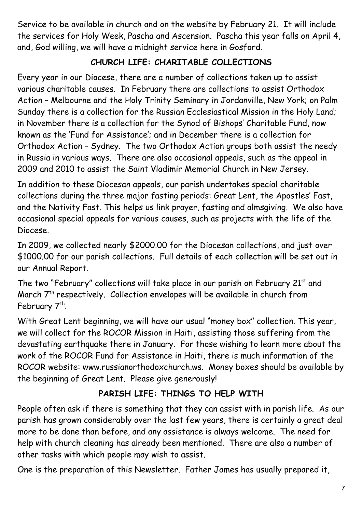Service to be available in church and on the website by February 21. It will include the services for Holy Week, Pascha and Ascension. Pascha this year falls on April 4, and, God willing, we will have a midnight service here in Gosford.

#### **CHURCH LIFE: CHARITABLE COLLECTIONS**

Every year in our Diocese, there are a number of collections taken up to assist various charitable causes. In February there are collections to assist Orthodox Action – Melbourne and the Holy Trinity Seminary in Jordanville, New York; on Palm Sunday there is a collection for the Russian Ecclesiastical Mission in the Holy Land; in November there is a collection for the Synod of Bishops' Charitable Fund, now known as the 'Fund for Assistance'; and in December there is a collection for Orthodox Action – Sydney. The two Orthodox Action groups both assist the needy in Russia in various ways. There are also occasional appeals, such as the appeal in 2009 and 2010 to assist the Saint Vladimir Memorial Church in New Jersey.

In addition to these Diocesan appeals, our parish undertakes special charitable collections during the three major fasting periods: Great Lent, the Apostles' Fast, and the Nativity Fast. This helps us link prayer, fasting and almsgiving. We also have occasional special appeals for various causes, such as projects with the life of the Diocese.

In 2009, we collected nearly \$2000.00 for the Diocesan collections, and just over \$1000.00 for our parish collections. Full details of each collection will be set out in our Annual Report.

The two "February" collections will take place in our parish on February 21<sup>st</sup> and March  $7<sup>th</sup>$  respectively. Collection envelopes will be available in church from February 7<sup>th</sup>.

With Great Lent beginning, we will have our usual "money box" collection. This year, we will collect for the ROCOR Mission in Haiti, assisting those suffering from the devastating earthquake there in January. For those wishing to learn more about the work of the ROCOR Fund for Assistance in Haiti, there is much information of the ROCOR website: www.russianorthodoxchurch.ws. Money boxes should be available by the beginning of Great Lent. Please give generously!

## **PARISH LIFE: THINGS TO HELP WITH**

People often ask if there is something that they can assist with in parish life. As our parish has grown considerably over the last few years, there is certainly a great deal more to be done than before, and any assistance is always welcome. The need for help with church cleaning has already been mentioned. There are also a number of other tasks with which people may wish to assist.

One is the preparation of this Newsletter. Father James has usually prepared it,